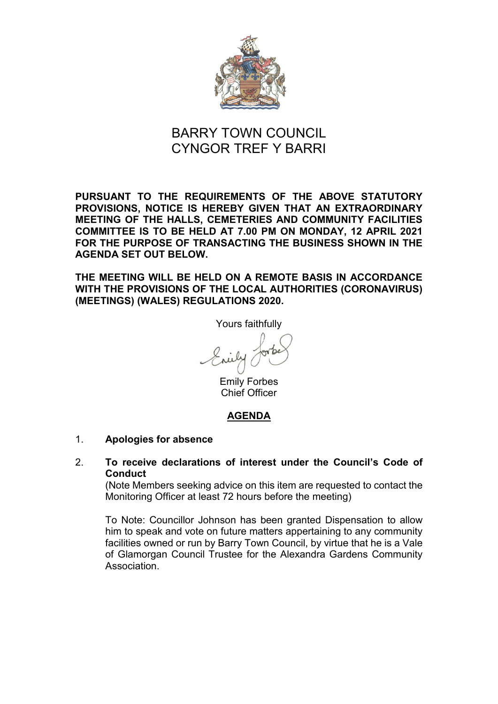

# BARRY TOWN COUNCIL CYNGOR TREF Y BARRI

**PURSUANT TO THE REQUIREMENTS OF THE ABOVE STATUTORY PROVISIONS, NOTICE IS HEREBY GIVEN THAT AN EXTRAORDINARY MEETING OF THE HALLS, CEMETERIES AND COMMUNITY FACILITIES COMMITTEE IS TO BE HELD AT 7.00 PM ON MONDAY, 12 APRIL 2021 FOR THE PURPOSE OF TRANSACTING THE BUSINESS SHOWN IN THE AGENDA SET OUT BELOW.** 

**THE MEETING WILL BE HELD ON A REMOTE BASIS IN ACCORDANCE WITH THE PROVISIONS OF THE LOCAL AUTHORITIES (CORONAVIRUS) (MEETINGS) (WALES) REGULATIONS 2020.**

Yours faithfully

Emily Forbes Chief Officer

## **AGENDA**

## 1. **Apologies for absence**

## 2. **To receive declarations of interest under the Council's Code of Conduct**

(Note Members seeking advice on this item are requested to contact the Monitoring Officer at least 72 hours before the meeting)

To Note: Councillor Johnson has been granted Dispensation to allow him to speak and vote on future matters appertaining to any community facilities owned or run by Barry Town Council, by virtue that he is a Vale of Glamorgan Council Trustee for the Alexandra Gardens Community Association.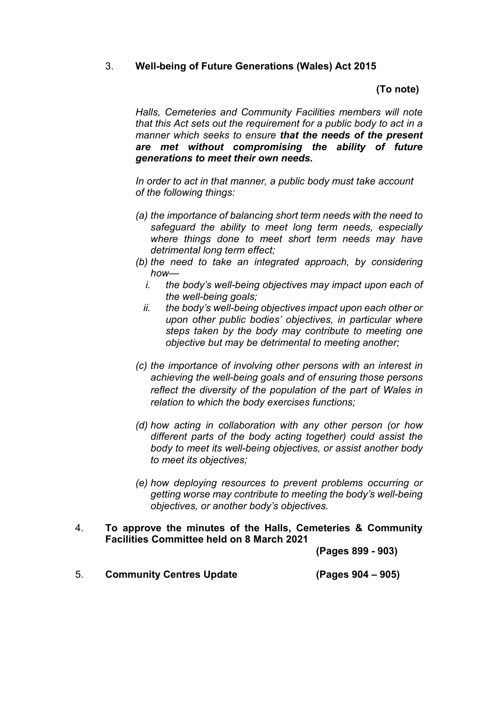## 3. **Well-being of Future Generations (Wales) Act 2015**

## **(To note)**

*Halls, Cemeteries and Community Facilities members will note that this Act sets out the requirement for a public body to act in a manner which seeks to ensure that the needs of the present are met without compromising the ability of future generations to meet their own needs.*

*In order to act in that manner, a public body must take account of the following things:*

- *(a) the importance of balancing short term needs with the need to safeguard the ability to meet long term needs, especially where things done to meet short term needs may have detrimental long term effect;*
- *(b) the need to take an integrated approach, by considering how*
	- *i. the body's well-being objectives may impact upon each of the well-being goals;*
	- *ii. the body's well-being objectives impact upon each other or upon other public bodies' objectives, in particular where steps taken by the body may contribute to meeting one objective but may be detrimental to meeting another;*
- *(c) the importance of involving other persons with an interest in achieving the well-being goals and of ensuring those persons reflect the diversity of the population of the part of Wales in relation to which the body exercises functions;*
- *(d) how acting in collaboration with any other person (or how different parts of the body acting together) could assist the body to meet its well-being objectives, or assist another body to meet its objectives;*
- *(e) how deploying resources to prevent problems occurring or getting worse may contribute to meeting the body's well-being objectives, or another body's objectives.*
- 4. **To approve the minutes of the Halls, Cemeteries & Community Facilities Committee held on 8 March 2021**

**(Pages 899 - 903)**

5. **Community Centres Update (Pages 904 – 905)**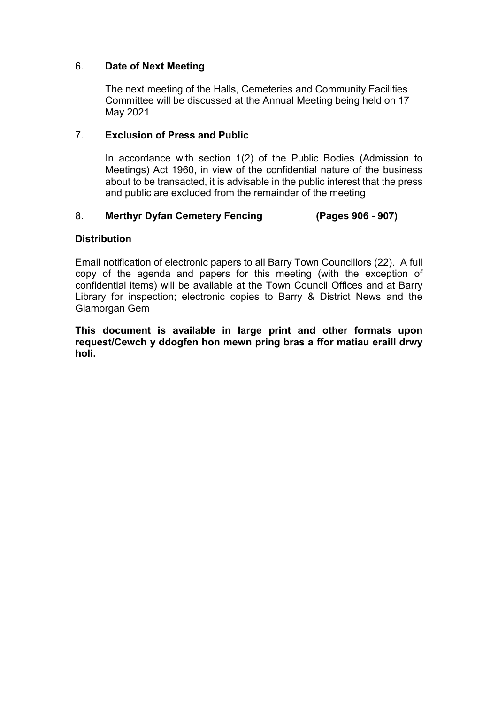## 6. **Date of Next Meeting**

The next meeting of the Halls, Cemeteries and Community Facilities Committee will be discussed at the Annual Meeting being held on 17 May 2021

## 7. **Exclusion of Press and Public**

In accordance with section 1(2) of the Public Bodies (Admission to Meetings) Act 1960, in view of the confidential nature of the business about to be transacted, it is advisable in the public interest that the press and public are excluded from the remainder of the meeting

## 8. **Merthyr Dyfan Cemetery Fencing (Pages 906 - 907)**

## **Distribution**

Email notification of electronic papers to all Barry Town Councillors (22). A full copy of the agenda and papers for this meeting (with the exception of confidential items) will be available at the Town Council Offices and at Barry Library for inspection; electronic copies to Barry & District News and the Glamorgan Gem

**This document is available in large print and other formats upon request/Cewch y ddogfen hon mewn pring bras a ffor matiau eraill drwy holi.**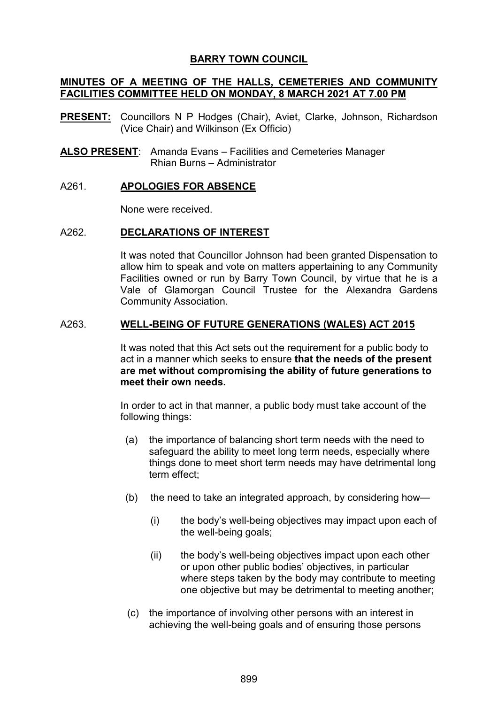## **BARRY TOWN COUNCIL**

## **MINUTES OF A MEETING OF THE HALLS, CEMETERIES AND COMMUNITY FACILITIES COMMITTEE HELD ON MONDAY, 8 MARCH 2021 AT 7.00 PM**

- **PRESENT:** Councillors N P Hodges (Chair), Aviet, Clarke, Johnson, Richardson (Vice Chair) and Wilkinson (Ex Officio)
- **ALSO PRESENT**: Amanda Evans Facilities and Cemeteries Manager Rhian Burns – Administrator

#### A261. **APOLOGIES FOR ABSENCE**

None were received.

#### A262. **DECLARATIONS OF INTEREST**

It was noted that Councillor Johnson had been granted Dispensation to allow him to speak and vote on matters appertaining to any Community Facilities owned or run by Barry Town Council, by virtue that he is a Vale of Glamorgan Council Trustee for the Alexandra Gardens Community Association.

#### A263. **WELL-BEING OF FUTURE GENERATIONS (WALES) ACT 2015**

It was noted that this Act sets out the requirement for a public body to act in a manner which seeks to ensure **that the needs of the present are met without compromising the ability of future generations to meet their own needs.**

In order to act in that manner, a public body must take account of the following things:

- (a) the importance of balancing short term needs with the need to safeguard the ability to meet long term needs, especially where things done to meet short term needs may have detrimental long term effect;
- (b) the need to take an integrated approach, by considering how—
	- (i) the body's well-being objectives may impact upon each of the well-being goals;
	- (ii) the body's well-being objectives impact upon each other or upon other public bodies' objectives, in particular where steps taken by the body may contribute to meeting one objective but may be detrimental to meeting another;
- (c) the importance of involving other persons with an interest in achieving the well-being goals and of ensuring those persons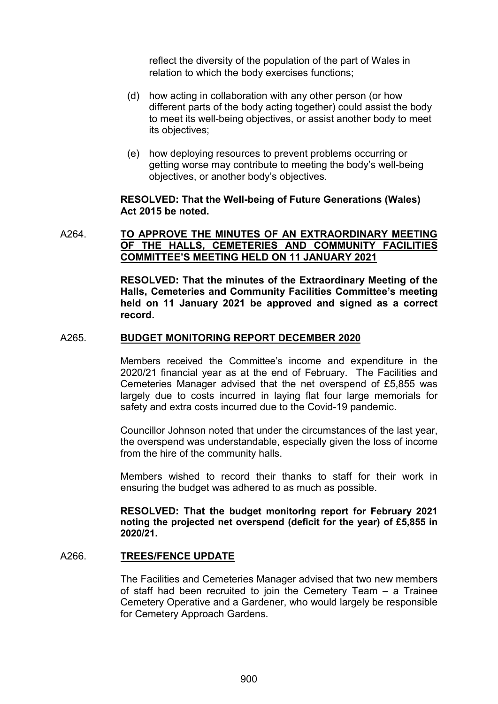reflect the diversity of the population of the part of Wales in relation to which the body exercises functions;

- (d) how acting in collaboration with any other person (or how different parts of the body acting together) could assist the body to meet its well-being objectives, or assist another body to meet its objectives;
- (e) how deploying resources to prevent problems occurring or getting worse may contribute to meeting the body's well-being objectives, or another body's objectives.

#### **RESOLVED: That the Well-being of Future Generations (Wales) Act 2015 be noted.**

## A264. **TO APPROVE THE MINUTES OF AN EXTRAORDINARY MEETING OF THE HALLS, CEMETERIES AND COMMUNITY FACILITIES COMMITTEE'S MEETING HELD ON 11 JANUARY 2021**

**RESOLVED: That the minutes of the Extraordinary Meeting of the Halls, Cemeteries and Community Facilities Committee's meeting held on 11 January 2021 be approved and signed as a correct record.** 

#### A265. **BUDGET MONITORING REPORT DECEMBER 2020**

Members received the Committee's income and expenditure in the 2020/21 financial year as at the end of February. The Facilities and Cemeteries Manager advised that the net overspend of £5,855 was largely due to costs incurred in laying flat four large memorials for safety and extra costs incurred due to the Covid-19 pandemic.

Councillor Johnson noted that under the circumstances of the last year, the overspend was understandable, especially given the loss of income from the hire of the community halls.

Members wished to record their thanks to staff for their work in ensuring the budget was adhered to as much as possible.

**RESOLVED: That the budget monitoring report for February 2021 noting the projected net overspend (deficit for the year) of £5,855 in 2020/21.**

#### A266. **TREES/FENCE UPDATE**

The Facilities and Cemeteries Manager advised that two new members of staff had been recruited to join the Cemetery Team – a Trainee Cemetery Operative and a Gardener, who would largely be responsible for Cemetery Approach Gardens.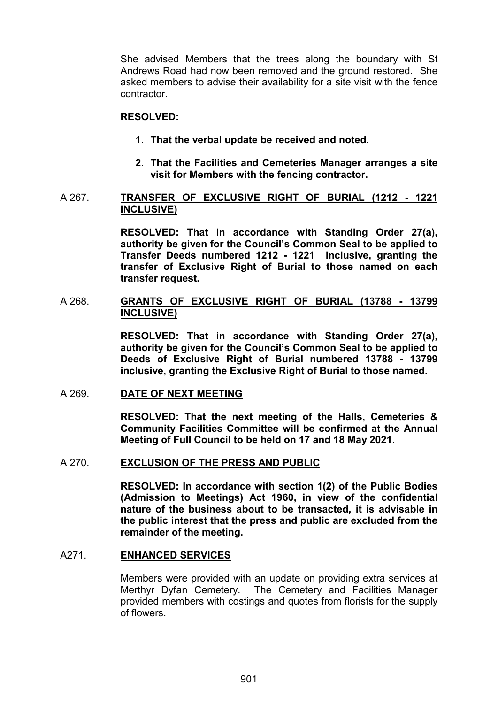She advised Members that the trees along the boundary with St Andrews Road had now been removed and the ground restored. She asked members to advise their availability for a site visit with the fence contractor.

#### **RESOLVED:**

- **1. That the verbal update be received and noted.**
- **2. That the Facilities and Cemeteries Manager arranges a site visit for Members with the fencing contractor.**

#### A 267. **TRANSFER OF EXCLUSIVE RIGHT OF BURIAL (1212 - 1221 INCLUSIVE)**

**RESOLVED: That in accordance with Standing Order 27(a), authority be given for the Council's Common Seal to be applied to Transfer Deeds numbered 1212 - 1221 inclusive, granting the transfer of Exclusive Right of Burial to those named on each transfer request.** 

## A 268. **GRANTS OF EXCLUSIVE RIGHT OF BURIAL (13788 - 13799 INCLUSIVE)**

**RESOLVED: That in accordance with Standing Order 27(a), authority be given for the Council's Common Seal to be applied to Deeds of Exclusive Right of Burial numbered 13788 - 13799 inclusive, granting the Exclusive Right of Burial to those named.** 

#### A 269. **DATE OF NEXT MEETING**

**RESOLVED: That the next meeting of the Halls, Cemeteries & Community Facilities Committee will be confirmed at the Annual Meeting of Full Council to be held on 17 and 18 May 2021.**

#### A 270. **EXCLUSION OF THE PRESS AND PUBLIC**

**RESOLVED: In accordance with section 1(2) of the Public Bodies (Admission to Meetings) Act 1960, in view of the confidential nature of the business about to be transacted, it is advisable in the public interest that the press and public are excluded from the remainder of the meeting.**

#### A271. **ENHANCED SERVICES**

Members were provided with an update on providing extra services at Merthyr Dyfan Cemetery. The Cemetery and Facilities Manager provided members with costings and quotes from florists for the supply of flowers.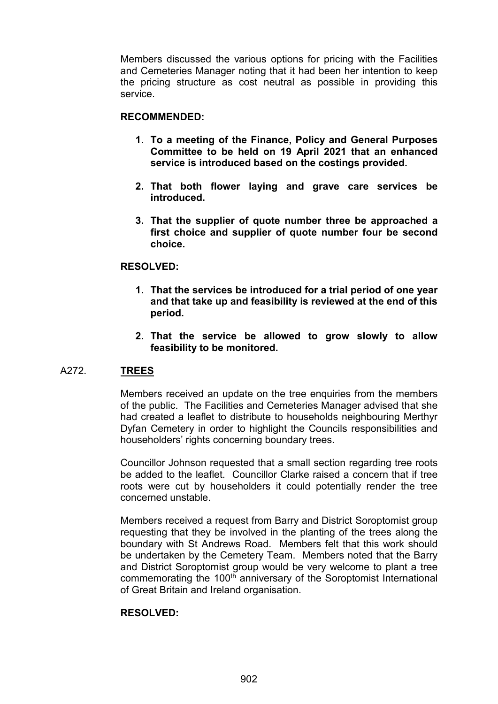Members discussed the various options for pricing with the Facilities and Cemeteries Manager noting that it had been her intention to keep the pricing structure as cost neutral as possible in providing this service.

## **RECOMMENDED:**

- **1. To a meeting of the Finance, Policy and General Purposes Committee to be held on 19 April 2021 that an enhanced service is introduced based on the costings provided.**
- **2. That both flower laying and grave care services be introduced.**
- **3. That the supplier of quote number three be approached a first choice and supplier of quote number four be second choice.**

#### **RESOLVED:**

- **1. That the services be introduced for a trial period of one year and that take up and feasibility is reviewed at the end of this period.**
- **2. That the service be allowed to grow slowly to allow feasibility to be monitored.**

#### A272. **TREES**

Members received an update on the tree enquiries from the members of the public. The Facilities and Cemeteries Manager advised that she had created a leaflet to distribute to households neighbouring Merthyr Dyfan Cemetery in order to highlight the Councils responsibilities and householders' rights concerning boundary trees.

Councillor Johnson requested that a small section regarding tree roots be added to the leaflet. Councillor Clarke raised a concern that if tree roots were cut by householders it could potentially render the tree concerned unstable.

Members received a request from Barry and District Soroptomist group requesting that they be involved in the planting of the trees along the boundary with St Andrews Road. Members felt that this work should be undertaken by the Cemetery Team. Members noted that the Barry and District Soroptomist group would be very welcome to plant a tree commemorating the 100<sup>th</sup> anniversary of the Soroptomist International of Great Britain and Ireland organisation.

#### **RESOLVED:**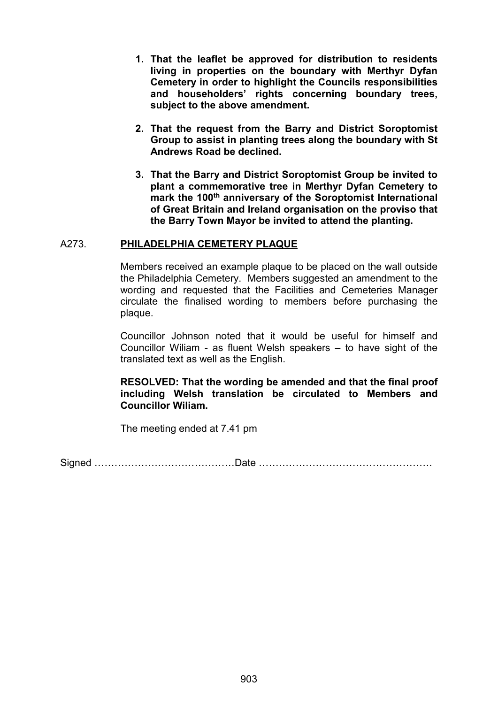- **1. That the leaflet be approved for distribution to residents living in properties on the boundary with Merthyr Dyfan Cemetery in order to highlight the Councils responsibilities and householders' rights concerning boundary trees, subject to the above amendment.**
- **2. That the request from the Barry and District Soroptomist Group to assist in planting trees along the boundary with St Andrews Road be declined.**
- **3. That the Barry and District Soroptomist Group be invited to plant a commemorative tree in Merthyr Dyfan Cemetery to mark the 100th anniversary of the Soroptomist International of Great Britain and Ireland organisation on the proviso that the Barry Town Mayor be invited to attend the planting.**

#### A273. **PHILADELPHIA CEMETERY PLAQUE**

Members received an example plaque to be placed on the wall outside the Philadelphia Cemetery. Members suggested an amendment to the wording and requested that the Facilities and Cemeteries Manager circulate the finalised wording to members before purchasing the plaque.

Councillor Johnson noted that it would be useful for himself and Councillor Wiliam - as fluent Welsh speakers – to have sight of the translated text as well as the English.

## **RESOLVED: That the wording be amended and that the final proof including Welsh translation be circulated to Members and Councillor Wiliam.**

The meeting ended at 7.41 pm

Signed ……………………………………Date …………………………………………….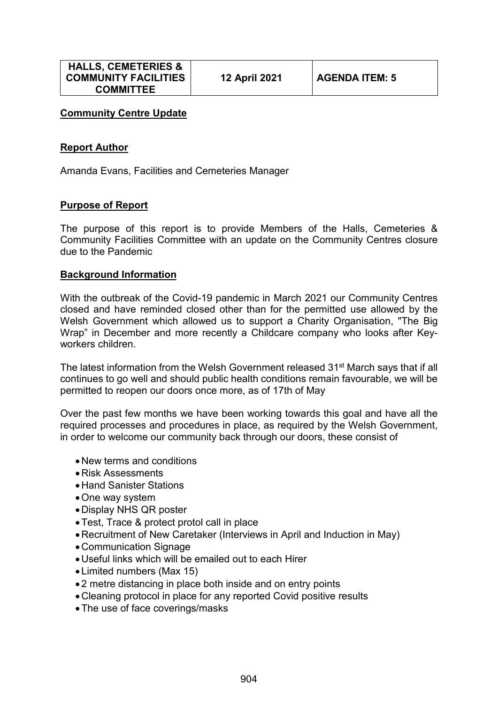## **Community Centre Update**

## **Report Author**

Amanda Evans, Facilities and Cemeteries Manager

## **Purpose of Report**

The purpose of this report is to provide Members of the Halls, Cemeteries & Community Facilities Committee with an update on the Community Centres closure due to the Pandemic

#### **Background Information**

With the outbreak of the Covid-19 pandemic in March 2021 our Community Centres closed and have reminded closed other than for the permitted use allowed by the Welsh Government which allowed us to support a Charity Organisation, "The Big Wrap" in December and more recently a Childcare company who looks after Keyworkers children.

The latest information from the Welsh Government released 31<sup>st</sup> March says that if all continues to go well and should public health conditions remain favourable, we will be permitted to reopen our doors once more, as of 17th of May

Over the past few months we have been working towards this goal and have all the required processes and procedures in place, as required by the Welsh Government, in order to welcome our community back through our doors, these consist of

- New terms and conditions
- Risk Assessments
- Hand Sanister Stations
- •One way system
- Display NHS QR poster
- •Test, Trace & protect protol call in place
- Recruitment of New Caretaker (Interviews in April and Induction in May)
- Communication Signage
- Useful links which will be emailed out to each Hirer
- Limited numbers (Max 15)
- 2 metre distancing in place both inside and on entry points
- Cleaning protocol in place for any reported Covid positive results
- •The use of face coverings/masks